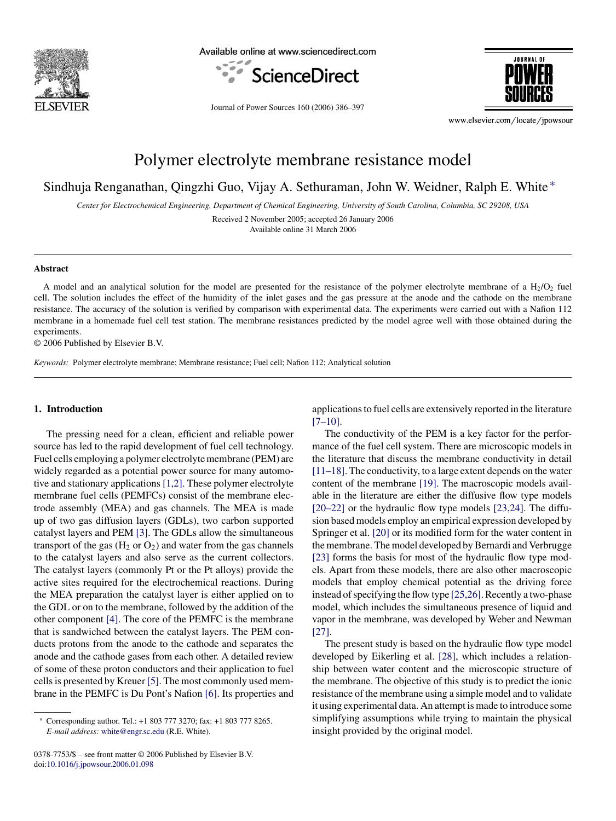

Available online at www.sciencedirect.com







www.elsevier.com/locate/jpowsour

# Polymer electrolyte membrane resistance model

Sindhuja Renganathan, Qingzhi Guo, Vijay A. Sethuraman, John W. Weidner, Ralph E. White <sup>∗</sup>

*Center for Electrochemical Engineering, Department of Chemical Engineering, University of South Carolina, Columbia, SC 29208, USA*

Received 2 November 2005; accepted 26 January 2006

Available online 31 March 2006

#### **Abstract**

A model and an analytical solution for the model are presented for the resistance of the polymer electrolyte membrane of a  $H_2/O_2$  fuel cell. The solution includes the effect of the humidity of the inlet gases and the gas pressure at the anode and the cathode on the membrane resistance. The accuracy of the solution is verified by comparison with experimental data. The experiments were carried out with a Nafion 112 membrane in a homemade fuel cell test station. The membrane resistances predicted by the model agree well with those obtained during the experiments.

© 2006 Published by Elsevier B.V.

*Keywords:* Polymer electrolyte membrane; Membrane resistance; Fuel cell; Nafion 112; Analytical solution

## **1. Introduction**

The pressing need for a clean, efficient and reliable power source has led to the rapid development of fuel cell technology. Fuel cells employing a polymer electrolyte membrane (PEM) are widely regarded as a potential power source for many automotive and stationary applications [\[1,2\]. T](#page-11-0)hese polymer electrolyte membrane fuel cells (PEMFCs) consist of the membrane electrode assembly (MEA) and gas channels. The MEA is made up of two gas diffusion layers (GDLs), two carbon supported catalyst layers and PEM [\[3\]. T](#page-11-0)he GDLs allow the simultaneous transport of the gas  $(H_2 \text{ or } O_2)$  and water from the gas channels to the catalyst layers and also serve as the current collectors. The catalyst layers (commonly Pt or the Pt alloys) provide the active sites required for the electrochemical reactions. During the MEA preparation the catalyst layer is either applied on to the GDL or on to the membrane, followed by the addition of the other component [\[4\].](#page-11-0) The core of the PEMFC is the membrane that is sandwiched between the catalyst layers. The PEM conducts protons from the anode to the cathode and separates the anode and the cathode gases from each other. A detailed review of some of these proton conductors and their application to fuel cells is presented by Kreuer [\[5\]. T](#page-11-0)he most commonly used membrane in the PEMFC is Du Pont's Nafion [\[6\]. I](#page-11-0)ts properties and

0378-7753/\$ – see front matter © 2006 Published by Elsevier B.V. doi[:10.1016/j.jpowsour.2006.01.098](dx.doi.org/10.1016/j.jpowsour.2006.01.098)

applications to fuel cells are extensively reported in the literature  $[7-10]$ .

The conductivity of the PEM is a key factor for the performance of the fuel cell system. There are microscopic models in the literature that discuss the membrane conductivity in detail [\[11–18\]. T](#page-11-0)he conductivity, to a large extent depends on the water content of the membrane [\[19\].](#page-11-0) The macroscopic models available in the literature are either the diffusive flow type models [\[20–22\]](#page-11-0) or the hydraulic flow type models [\[23,24\].](#page-11-0) The diffusion based models employ an empirical expression developed by Springer et al. [\[20\]](#page-11-0) or its modified form for the water content in the membrane. The model developed by Bernardi and Verbrugge [\[23\]](#page-11-0) forms the basis for most of the hydraulic flow type models. Apart from these models, there are also other macroscopic models that employ chemical potential as the driving force instead of specifying the flow type [\[25,26\]. R](#page-11-0)ecently a two-phase model, which includes the simultaneous presence of liquid and vapor in the membrane, was developed by Weber and Newman [\[27\].](#page-11-0)

The present study is based on the hydraulic flow type model developed by Eikerling et al. [\[28\],](#page-11-0) which includes a relationship between water content and the microscopic structure of the membrane. The objective of this study is to predict the ionic resistance of the membrane using a simple model and to validate it using experimental data. An attempt is made to introduce some simplifying assumptions while trying to maintain the physical insight provided by the original model.

<sup>∗</sup> Corresponding author. Tel.: +1 803 777 3270; fax: +1 803 777 8265. *E-mail address:* [white@engr.sc.edu](mailto:white@engr.sc.edu) (R.E. White).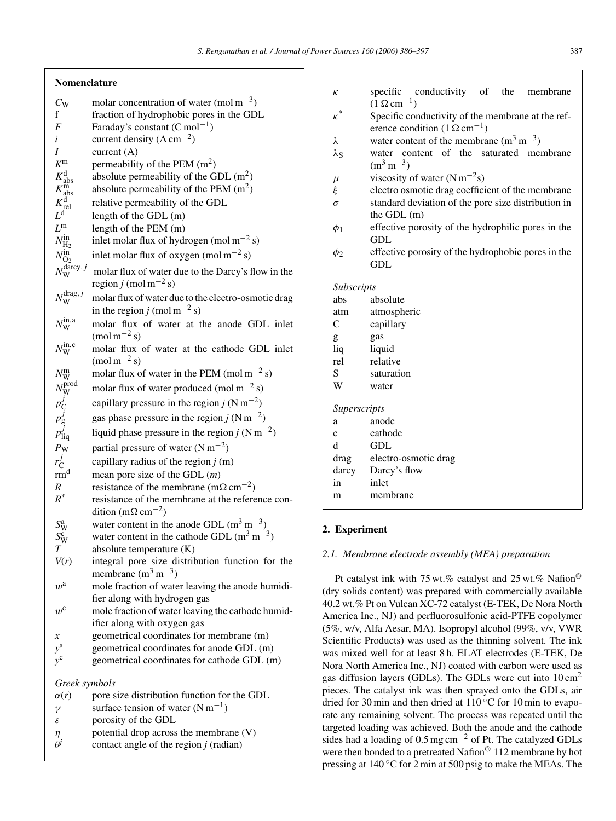# **Nomenclature**

| $C_{\rm W}$                                                                 | molar concentration of water (mol $m^{-3}$ )              |
|-----------------------------------------------------------------------------|-----------------------------------------------------------|
| f                                                                           | fraction of hydrophobic pores in the GDL                  |
| $\boldsymbol{F}$                                                            | Faraday's constant $(C \text{ mol}^{-1})$                 |
| i                                                                           | current density $(A \text{ cm}^{-2})$                     |
| I                                                                           | current $(A)$                                             |
| $K^{\rm m}$                                                                 | permeability of the PEM $(m2)$                            |
| $K_{\rm abs}^{\rm d}$<br>$K_{\rm abs}^{\rm m}$                              | absolute permeability of the GDL $(m^2)$                  |
|                                                                             | absolute permeability of the PEM $(m^2)$                  |
| $K_{\rm rel}^{\rm d}$                                                       | relative permeability of the GDL                          |
| $L^{\rm d}$                                                                 | length of the GDL (m)                                     |
| $L^{\rm m}$                                                                 | length of the PEM (m)                                     |
| $N_{\rm H_2}^{\rm in}$                                                      | inlet molar flux of hydrogen (mol m <sup>-2</sup> s)      |
| $N_{\text{O}_2}^{\text{in}}$<br>$N_{\text{W}}^{\text{darcy},j}$             | inlet molar flux of oxygen (mol m <sup>-2</sup> s)        |
|                                                                             | molar flux of water due to the Darcy's flow in the        |
|                                                                             | region j (mol m <sup>-2</sup> s)                          |
| $N_{\rm W}^{\rm drag, \, j}$                                                | molar flux of water due to the electro-osmotic drag       |
|                                                                             | in the region j (mol m <sup>-2</sup> s)                   |
| $N_{\rm W}^{\rm in, a}$                                                     | molar flux of water at the anode GDL inlet                |
|                                                                             | $(\text{mol m}^{-2} s)$                                   |
| $N_{\rm W}^{\rm in, c}$                                                     | molar flux of water at the cathode GDL inlet              |
|                                                                             | $\text{(mol m}^{-2}\text{ s)}$                            |
| $N_{\rm W}^{\rm m}$                                                         | molar flux of water in the PEM (mol $m^{-2}$ s)           |
| $N_{\rm W}^{\rm prod}$<br>$p_{\rm C}^j$<br>$p_{\rm g}^j$<br>$p_{\rm liq}^j$ | molar flux of water produced (mol $m^{-2}$ s)             |
|                                                                             | capillary pressure in the region j $(N \text{ m}^{-2})$   |
|                                                                             | gas phase pressure in the region $j$ (N m <sup>-2</sup> ) |
|                                                                             | liquid phase pressure in the region j ( $Nm^{-2}$ )       |
| $P_{\rm W}$                                                                 | partial pressure of water $(N m^{-2})$                    |
| $r_{\rm C}^J$                                                               | capillary radius of the region $j(m)$                     |
| rm <sup>d</sup>                                                             | mean pore size of the GDL $(m)$                           |
| $\boldsymbol{R}$                                                            | resistance of the membrane (m $\Omega$ cm <sup>-2</sup> ) |
| $R^*$                                                                       | resistance of the membrane at the reference con-          |
|                                                                             | dition (m $\Omega$ cm <sup>-2</sup> )                     |
|                                                                             | water content in the anode GDL $(m^3 m^{-3})$             |
| $\begin{array}{c} S^{\rm a}_{\rm W} \\ S^{\rm c}_{\rm W} \\ T \end{array}$  | water content in the cathode GDL $(m^3 m^{-3})$           |
|                                                                             | absolute temperature (K)                                  |
| V(r)                                                                        | integral pore size distribution function for the          |
|                                                                             | membrane $(m^3 m^{-3})$                                   |
| $w^{\text{a}}$                                                              | mole fraction of water leaving the anode humidi-          |
|                                                                             | fier along with hydrogen gas                              |
| $w^{\text{c}}$                                                              | mole fraction of water leaving the cathode humid-         |
|                                                                             | ifier along with oxygen gas                               |
| $\boldsymbol{\mathcal{X}}$                                                  | geometrical coordinates for membrane (m)                  |
| $y^{\mathrm{a}}$                                                            | geometrical coordinates for anode GDL (m)                 |
| $y^{\rm c}$                                                                 | geometrical coordinates for cathode GDL (m)               |
| Greek symbols                                                               |                                                           |
| $\alpha(r)$                                                                 | pore size distribution function for the GDL               |
| γ                                                                           | surface tension of water $(N m^{-1})$                     |
| ε                                                                           | porosity of the GDL                                       |
| η                                                                           | potential drop across the membrane (V)                    |
|                                                                             |                                                           |

| $\theta$<br>contact angle of the region $j$ (radian) |  |
|------------------------------------------------------|--|
|------------------------------------------------------|--|

| $\kappa$          | specific conductivity of the<br>membrane            |  |  |  |  |
|-------------------|-----------------------------------------------------|--|--|--|--|
|                   | $(1 \Omega cm^{-1})$                                |  |  |  |  |
| $\kappa^*$        | Specific conductivity of the membrane at the ref-   |  |  |  |  |
|                   | erence condition $(1 \Omega \text{ cm}^{-1})$       |  |  |  |  |
| λ                 | water content of the membrane $(m^3 m^{-3})$        |  |  |  |  |
| $\lambda_{\rm S}$ | water content of the saturated membrane             |  |  |  |  |
|                   | $(m^3 m^{-3})$                                      |  |  |  |  |
| $\mu$             | viscosity of water $(N m^{-2}s)$                    |  |  |  |  |
| ξ                 | electro osmotic drag coefficient of the membrane    |  |  |  |  |
| $\sigma$          | standard deviation of the pore size distribution in |  |  |  |  |
|                   | the GDL (m)                                         |  |  |  |  |
| $\phi_1$          | effective porosity of the hydrophilic pores in the  |  |  |  |  |
|                   | GDL                                                 |  |  |  |  |
| $\phi_2$          | effective porosity of the hydrophobic pores in the  |  |  |  |  |
|                   | GDL                                                 |  |  |  |  |
| Subscripts        |                                                     |  |  |  |  |
| abs               | absolute                                            |  |  |  |  |
| atm               | atmospheric                                         |  |  |  |  |
| $\mathsf{C}$      | capillary                                           |  |  |  |  |
| g                 | gas                                                 |  |  |  |  |
| liq               | liquid                                              |  |  |  |  |
| rel               | relative                                            |  |  |  |  |
| S                 | saturation                                          |  |  |  |  |
| W                 | water                                               |  |  |  |  |
|                   |                                                     |  |  |  |  |
| Superscripts      |                                                     |  |  |  |  |
| a                 | anode                                               |  |  |  |  |
| $\mathbf{C}$      | cathode                                             |  |  |  |  |
| d                 | GDL                                                 |  |  |  |  |
|                   | drag electro-osmotic drag                           |  |  |  |  |
| darcy             | Darcy's flow                                        |  |  |  |  |

## **2. Experiment**

in inlet m membrane

## *2.1. Membrane electrode assembly (MEA) preparation*

Pt catalyst ink with 75 wt.% catalyst and 25 wt.% Nafion® (dry solids content) was prepared with commercially available 40.2 wt.% Pt on Vulcan XC-72 catalyst (E-TEK, De Nora North America Inc., NJ) and perfluorosulfonic acid-PTFE copolymer (5%, w/v, Alfa Aesar, MA). Isopropyl alcohol (99%, v/v, VWR Scientific Products) was used as the thinning solvent. The ink was mixed well for at least 8 h. ELAT electrodes (E-TEK, De Nora North America Inc., NJ) coated with carbon were used as gas diffusion layers (GDLs). The GDLs were cut into 10 cm2 pieces. The catalyst ink was then sprayed onto the GDLs, air dried for 30 min and then dried at  $110^{\circ}$ C for 10 min to evaporate any remaining solvent. The process was repeated until the targeted loading was achieved. Both the anode and the cathode sides had a loading of 0.5 mg cm−<sup>2</sup> of Pt. The catalyzed GDLs were then bonded to a pretreated Nafion<sup>®</sup> 112 membrane by hot pressing at 140 ◦C for 2 min at 500 psig to make the MEAs. The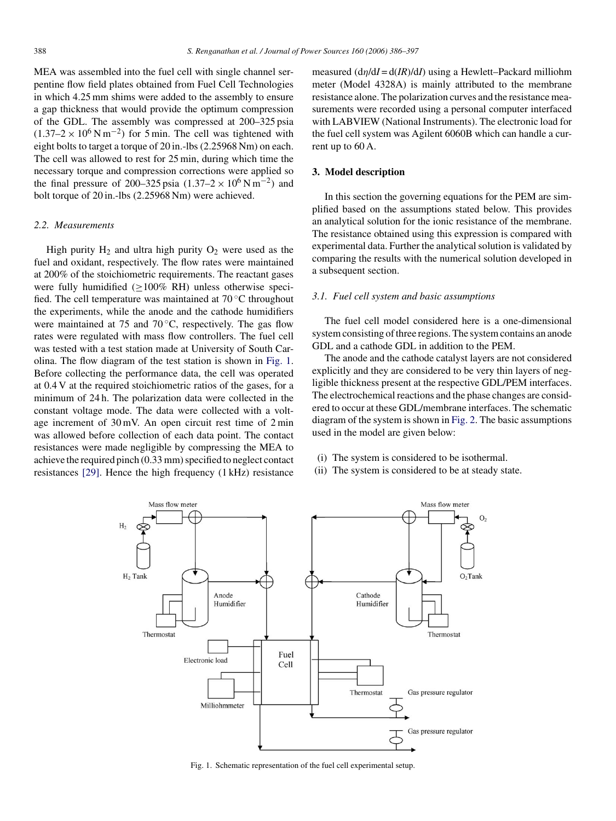MEA was assembled into the fuel cell with single channel serpentine flow field plates obtained from Fuel Cell Technologies in which 4.25 mm shims were added to the assembly to ensure a gap thickness that would provide the optimum compression of the GDL. The assembly was compressed at 200–325 psia  $(1.37–2 \times 10^6 \,\mathrm{N} \,\mathrm{m}^{-2})$  for 5 min. The cell was tightened with eight bolts to target a torque of 20 in.-lbs (2.25968 Nm) on each. The cell was allowed to rest for 25 min, during which time the necessary torque and compression corrections were applied so the final pressure of 200–325 psia  $(1.37-2 \times 10^6 \,\mathrm{N \, m}^{-2})$  and bolt torque of 20 in.-lbs (2.25968 Nm) were achieved.

## *2.2. Measurements*

High purity  $H_2$  and ultra high purity  $O_2$  were used as the fuel and oxidant, respectively. The flow rates were maintained at 200% of the stoichiometric requirements. The reactant gases were fully humidified (>100% RH) unless otherwise specified. The cell temperature was maintained at  $70^{\circ}$ C throughout the experiments, while the anode and the cathode humidifiers were maintained at 75 and 70 $\degree$ C, respectively. The gas flow rates were regulated with mass flow controllers. The fuel cell was tested with a test station made at University of South Carolina. The flow diagram of the test station is shown in Fig. 1. Before collecting the performance data, the cell was operated at 0.4 V at the required stoichiometric ratios of the gases, for a minimum of 24 h. The polarization data were collected in the constant voltage mode. The data were collected with a voltage increment of 30 mV. An open circuit rest time of 2 min was allowed before collection of each data point. The contact resistances were made negligible by compressing the MEA to achieve the required pinch (0.33 mm) specified to neglect contact resistances [\[29\].](#page-11-0) Hence the high frequency (1 kHz) resistance

measured (dη/d*I* = d(*IR*)/d*I*) using a Hewlett–Packard milliohm meter (Model 4328A) is mainly attributed to the membrane resistance alone. The polarization curves and the resistance measurements were recorded using a personal computer interfaced with LABVIEW (National Instruments). The electronic load for the fuel cell system was Agilent 6060B which can handle a current up to 60 A.

#### **3. Model description**

In this section the governing equations for the PEM are simplified based on the assumptions stated below. This provides an analytical solution for the ionic resistance of the membrane. The resistance obtained using this expression is compared with experimental data. Further the analytical solution is validated by comparing the results with the numerical solution developed in a subsequent section.

## *3.1. Fuel cell system and basic assumptions*

The fuel cell model considered here is a one-dimensional system consisting of three regions. The system contains an anode GDL and a cathode GDL in addition to the PEM.

The anode and the cathode catalyst layers are not considered explicitly and they are considered to be very thin layers of negligible thickness present at the respective GDL/PEM interfaces. The electrochemical reactions and the phase changes are considered to occur at these GDL/membrane interfaces. The schematic diagram of the system is shown in [Fig. 2. T](#page-3-0)he basic assumptions used in the model are given below:

- (i) The system is considered to be isothermal.
- (ii) The system is considered to be at steady state.



Fig. 1. Schematic representation of the fuel cell experimental setup.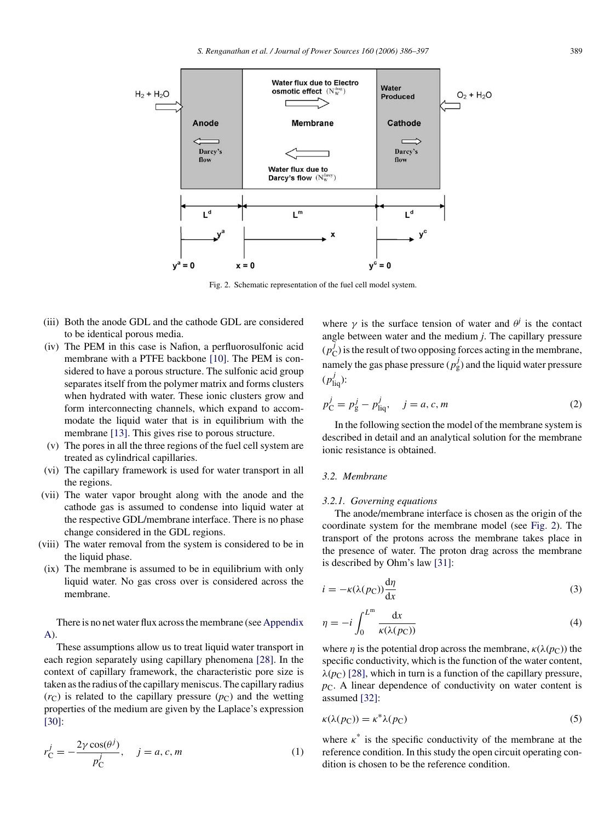<span id="page-3-0"></span>

Fig. 2. Schematic representation of the fuel cell model system.

- (iii) Both the anode GDL and the cathode GDL are considered to be identical porous media.
- (iv) The PEM in this case is Nafion, a perfluorosulfonic acid membrane with a PTFE backbone [\[10\].](#page-11-0) The PEM is considered to have a porous structure. The sulfonic acid group separates itself from the polymer matrix and forms clusters when hydrated with water. These ionic clusters grow and form interconnecting channels, which expand to accommodate the liquid water that is in equilibrium with the membrane [\[13\].](#page-11-0) This gives rise to porous structure.
- (v) The pores in all the three regions of the fuel cell system are treated as cylindrical capillaries.
- (vi) The capillary framework is used for water transport in all the regions.
- (vii) The water vapor brought along with the anode and the cathode gas is assumed to condense into liquid water at the respective GDL/membrane interface. There is no phase change considered in the GDL regions.
- (viii) The water removal from the system is considered to be in the liquid phase.
- $(ix)$  The membrane is assumed to be in equilibrium with only liquid water. No gas cross over is considered across the membrane.

There is no net water flux across the membrane (see [Appendix](#page-10-0) [A\).](#page-10-0)

These assumptions allow us to treat liquid water transport in each region separately using capillary phenomena [\[28\].](#page-11-0) In the context of capillary framework, the characteristic pore size is taken as the radius of the capillary meniscus. The capillary radius  $(r<sub>C</sub>)$  is related to the capillary pressure  $(p<sub>C</sub>)$  and the wetting properties of the medium are given by the Laplace's expression [\[30\]:](#page-11-0)

$$
r_{\rm C}^j = -\frac{2\gamma \cos(\theta^j)}{p_{\rm C}^j}, \quad j = a, c, m \tag{1}
$$

where  $\gamma$  is the surface tension of water and  $\theta^j$  is the contact angle between water and the medium *j*. The capillary pressure  $(p_C^j)$  is the result of two opposing forces acting in the membrane, namely the gas phase pressure  $(p_g^j)$  and the liquid water pressure  $(p_{\text{liq}}^j)$ :

$$
p_{\rm C}^j = p_{\rm g}^j - p_{\rm liq}^j, \quad j = a, c, m \tag{2}
$$

In the following section the model of the membrane system is described in detail and an analytical solution for the membrane ionic resistance is obtained.

## *3.2. Membrane*

#### *3.2.1. Governing equations*

The anode/membrane interface is chosen as the origin of the coordinate system for the membrane model (see Fig. 2). The transport of the protons across the membrane takes place in the presence of water. The proton drag across the membrane is described by Ohm's law [\[31\]:](#page-11-0)

$$
i = -\kappa(\lambda(p_C))\frac{d\eta}{dx} \tag{3}
$$

$$
\eta = -i \int_0^{L^m} \frac{\mathrm{d}x}{\kappa(\lambda(p_{\mathbf{C}}))} \tag{4}
$$

where *n* is the potential drop across the membrane,  $\kappa(\lambda(p_C))$  the specific conductivity, which is the function of the water content,  $\lambda(p_C)$  [\[28\],](#page-11-0) which in turn is a function of the capillary pressure, *p*<sub>C</sub>. A linear dependence of conductivity on water content is assumed [\[32\]:](#page-11-0)

$$
\kappa(\lambda(p_{\rm C})) = \kappa^* \lambda(p_{\rm C}) \tag{5}
$$

where  $\kappa^*$  is the specific conductivity of the membrane at the reference condition. In this study the open circuit operating condition is chosen to be the reference condition.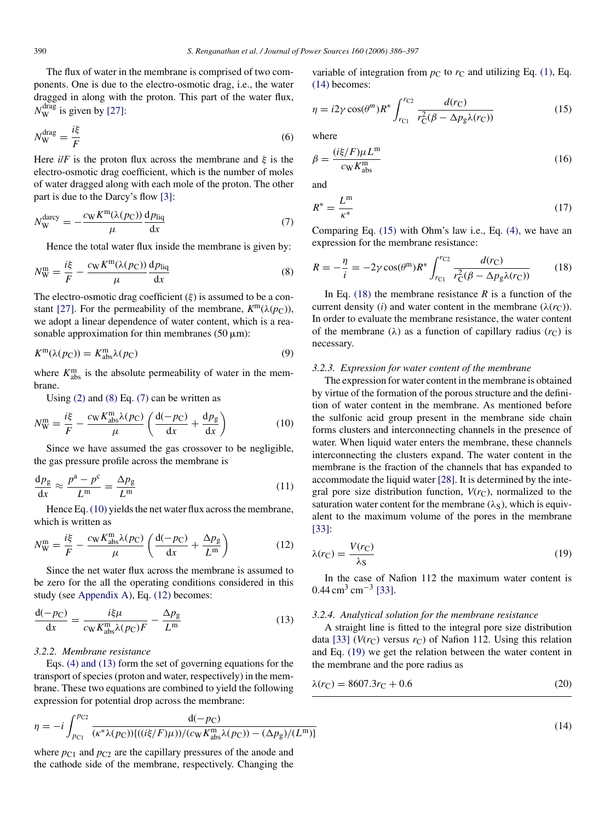<span id="page-4-0"></span>The flux of water in the membrane is comprised of two components. One is due to the electro-osmotic drag, i.e., the water dragged in along with the proton. This part of the water flux,  $N_{\rm W}^{\rm drag}$  is given by [\[27\]:](#page-11-0)

$$
N_{\rm W}^{\rm drag} = \frac{i\xi}{F} \tag{6}
$$

Here  $i/F$  is the proton flux across the membrane and  $\xi$  is the electro-osmotic drag coefficient, which is the number of moles of water dragged along with each mole of the proton. The other part is due to the Darcy's flow [\[3\]:](#page-11-0)

$$
N_{\rm W}^{\rm darcy} = -\frac{c_{\rm W} K^{\rm m}(\lambda(p_{\rm C}))}{\mu} \frac{\mathrm{d}p_{\rm liq}}{\mathrm{d}x} \tag{7}
$$

Hence the total water flux inside the membrane is given by:

$$
N_{\rm W}^{\rm m} = \frac{i\xi}{F} - \frac{c_{\rm W}K^{\rm m}(\lambda(p_{\rm C}))}{\mu} \frac{\mathrm{d}p_{\rm liq}}{\mathrm{d}x} \tag{8}
$$

The electro-osmotic drag coefficient  $(\xi)$  is assumed to be a con-stant [\[27\].](#page-11-0) For the permeability of the membrane,  $K^m(\lambda(p_C))$ , we adopt a linear dependence of water content, which is a reasonable approximation for thin membranes  $(50 \mu m)$ :

$$
K^{\mathbf{m}}(\lambda(p_{\mathbf{C}})) = K^{\mathbf{m}}_{\text{abs}}\lambda(p_{\mathbf{C}})
$$
\n(9)

where  $K_{\text{abs}}^{\text{m}}$  is the absolute permeability of water in the membrane.

Using  $(2)$  and  $(8)$  Eq.  $(7)$  can be written as

$$
N_{\rm W}^{\rm m} = \frac{i\xi}{F} - \frac{c_{\rm W}K_{\rm abs}^{\rm m}\lambda(p_{\rm C})}{\mu} \left(\frac{d(-p_{\rm C})}{dx} + \frac{dp_{\rm g}}{dx}\right) \tag{10}
$$

Since we have assumed the gas crossover to be negligible, the gas pressure profile across the membrane is

$$
\frac{\mathrm{d}p_{\mathrm{g}}}{\mathrm{d}x} \approx \frac{p^{\mathrm{a}} - p^{\mathrm{c}}}{L^{\mathrm{m}}} = \frac{\Delta p_{\mathrm{g}}}{L^{\mathrm{m}}} \tag{11}
$$

Hence Eq. (10) yields the net water flux across the membrane, which is written as

$$
N_{\rm W}^{\rm m} = \frac{i\xi}{F} - \frac{c_{\rm W}K_{\rm abs}^{\rm m}\lambda(p_{\rm C})}{\mu} \left(\frac{d(-p_{\rm C})}{dx} + \frac{\Delta p_{\rm g}}{L^{\rm m}}\right) \tag{12}
$$

Since the net water flux across the membrane is assumed to be zero for the all the operating conditions considered in this study (see [Appendix A\),](#page-10-0) Eq. (12) becomes:

$$
\frac{\mathrm{d}(-p_{\mathrm{C}})}{\mathrm{d}x} = \frac{i\xi\mu}{c_{\mathrm{W}}K_{\mathrm{abs}}^{\mathrm{m}}\lambda(p_{\mathrm{C}})F} - \frac{\Delta p_{\mathrm{g}}}{L^{\mathrm{m}}} \tag{13}
$$

## *3.2.2. Membrane resistance*

Eqs. [\(4\) and \(13\)](#page-3-0) form the set of governing equations for the transport of species (proton and water, respectively) in the membrane. These two equations are combined to yield the following expression for potential drop across the membrane:

$$
\eta = -i \int_{p_{\text{Cl}}}^{p_{\text{C2}}} \frac{d(-p_{\text{C}})}{(\kappa^* \lambda(p_{\text{C}})) \{((i\xi/F)\mu)/(c_{\text{W}} K_{\text{abs}}^{\text{m}} \lambda(p_{\text{C}})) - (\Delta p_{\text{g}})/(L^{\text{m}})\}}
$$
(14)

where  $p_{C1}$  and  $p_{C2}$  are the capillary pressures of the anode and the cathode side of the membrane, respectively. Changing the variable of integration from  $p_C$  to  $r_C$  and utilizing Eq. [\(1\),](#page-3-0) Eq. (14) becomes:

$$
\eta = i2\gamma \cos(\theta^m) R^* \int_{r_{\rm Cl}}^{r_{\rm Cl}} \frac{d(r_{\rm C})}{r_{\rm C}^2(\beta - \Delta p_{\rm g} \lambda(r_{\rm C}))} \tag{15}
$$

where

$$
\beta = \frac{(i\xi/F)\mu L^{\text{m}}}{c_{\text{W}}K_{\text{abs}}^{\text{m}}} \tag{16}
$$

and

$$
R^* = \frac{L^{\mathfrak{m}}}{\kappa^*} \tag{17}
$$

Comparing Eq. (15) with Ohm's law i.e., Eq. [\(4\),](#page-3-0) we have an expression for the membrane resistance:

$$
R = -\frac{\eta}{i} = -2\gamma \cos(\theta^{\text{m}}) R^* \int_{r_{\text{Cl}}}^{r_{\text{C2}}} \frac{d(r_{\text{C}})}{r_{\text{C}}^2 (\beta - \Delta p_{\text{g}} \lambda(r_{\text{C}}))}
$$
(18)

In Eq.  $(18)$  the membrane resistance *R* is a function of the current density (*i*) and water content in the membrane ( $\lambda(r_C)$ ). In order to evaluate the membrane resistance, the water content of the membrane ( $\lambda$ ) as a function of capillary radius ( $r<sub>C</sub>$ ) is necessary.

#### *3.2.3. Expression for water content of the membrane*

The expression for water content in the membrane is obtained by virtue of the formation of the porous structure and the definition of water content in the membrane. As mentioned before the sulfonic acid group present in the membrane side chain forms clusters and interconnecting channels in the presence of water. When liquid water enters the membrane, these channels interconnecting the clusters expand. The water content in the membrane is the fraction of the channels that has expanded to accommodate the liquid water [\[28\]. I](#page-11-0)t is determined by the integral pore size distribution function,  $V(r<sub>C</sub>)$ , normalized to the saturation water content for the membrane  $(\lambda_S)$ , which is equivalent to the maximum volume of the pores in the membrane [\[33\]:](#page-11-0)

$$
\lambda(r_{\rm C}) = \frac{V(r_{\rm C})}{\lambda_{\rm S}}\tag{19}
$$

In the case of Nafion 112 the maximum water content is  $0.44 \text{ cm}^3 \text{ cm}^{-3}$  [\[33\].](#page-11-0)

#### *3.2.4. Analytical solution for the membrane resistance*

A straight line is fitted to the integral pore size distribution data [\[33\]](#page-11-0) ( $V(r_C)$  versus  $r_C$ ) of Nafion 112. Using this relation and Eq. (19) we get the relation between the water content in the membrane and the pore radius as

$$
\lambda(r_{\rm C}) = 8607.3r_{\rm C} + 0.6\tag{20}
$$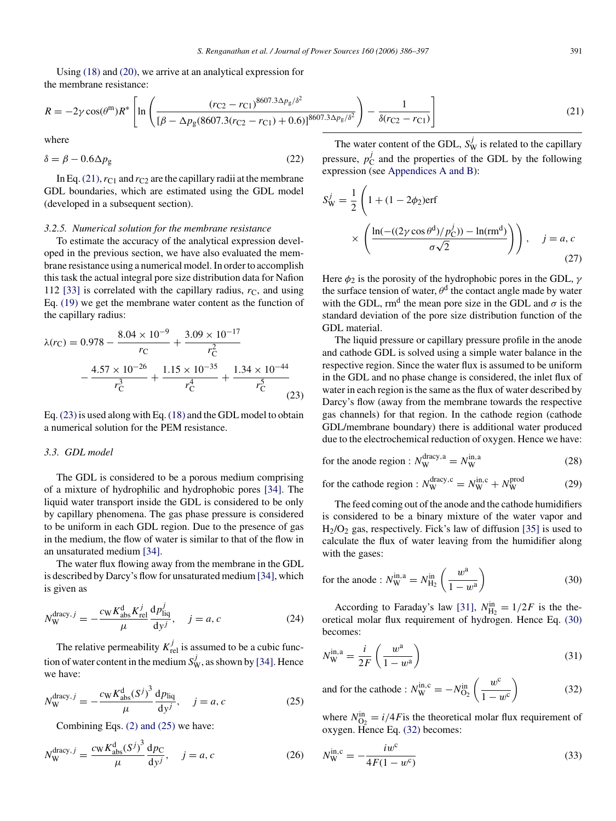<span id="page-5-0"></span>Using [\(18\)](#page-4-0) and [\(20\),](#page-4-0) we arrive at an analytical expression for the membrane resistance:

$$
R = -2\gamma \cos(\theta^{\text{m}})R^* \left[ \ln \left( \frac{(r_{\text{C2}} - r_{\text{C1}})^{8607.3} \Delta p_{\text{g}}/\delta^2}{[\beta - \Delta p_{\text{g}}(8607.3(r_{\text{C2}} - r_{\text{C1}}) + 0.6)]^{8607.3} \Delta p_{\text{g}}/\delta^2} \right) - \frac{1}{\delta(r_{\text{C2}} - r_{\text{C1}})} \right]
$$
(21)

where

$$
\delta = \beta - 0.6 \Delta p_{\rm g} \tag{22}
$$

In Eq. (21),  $r_{C1}$  and  $r_{C2}$  are the capillary radii at the membrane GDL boundaries, which are estimated using the GDL model (developed in a subsequent section).

#### *3.2.5. Numerical solution for the membrane resistance*

To estimate the accuracy of the analytical expression developed in the previous section, we have also evaluated the membrane resistance using a numerical model. In order to accomplish this task the actual integral pore size distribution data for Nafion 112 [\[33\]](#page-11-0) is correlated with the capillary radius,  $r<sub>C</sub>$ , and using Eq. [\(19\)](#page-4-0) we get the membrane water content as the function of the capillary radius:

$$
\lambda(r_{\rm C}) = 0.978 - \frac{8.04 \times 10^{-9}}{r_{\rm C}} + \frac{3.09 \times 10^{-17}}{r_{\rm C}^2} \n- \frac{4.57 \times 10^{-26}}{r_{\rm C}^3} + \frac{1.15 \times 10^{-35}}{r_{\rm C}^4} + \frac{1.34 \times 10^{-44}}{r_{\rm C}^5} \n(23)
$$

Eq.  $(23)$  is used along with Eq.  $(18)$  and the GDL model to obtain a numerical solution for the PEM resistance.

#### *3.3. GDL model*

The GDL is considered to be a porous medium comprising of a mixture of hydrophilic and hydrophobic pores [\[34\].](#page-11-0) The liquid water transport inside the GDL is considered to be only by capillary phenomena. The gas phase pressure is considered to be uniform in each GDL region. Due to the presence of gas in the medium, the flow of water is similar to that of the flow in an unsaturated medium [\[34\].](#page-11-0)

The water flux flowing away from the membrane in the GDL is described by Darcy's flow for unsaturated medium [\[34\], w](#page-11-0)hich is given as

$$
N_{\rm W}^{\rm drag, \, \, j} = -\frac{c_{\rm W} K_{\rm abs}^{\rm d} K_{\rm rel}^j}{\mu} \frac{\mathrm{d} p_{\rm liq}^j}{\mathrm{d} y^j}, \quad \, j = a, c \tag{24}
$$

The relative permeability  $K_{\text{rel}}^j$  is assumed to be a cubic function of water content in the medium  $S_W^j$ , as shown by [\[34\]. H](#page-11-0)ence we have:

$$
N_{\rm W}^{\rm dracy, \, \, j} = -\frac{c_{\rm W} K_{\rm abs}^{\rm d}(S^j)^3}{\mu} \frac{\mathrm{d} p_{\rm liq}}{\mathrm{d} y^j}, \quad \, j = a, c \tag{25}
$$

Combining Eqs. [\(2\) and \(25\)](#page-3-0) we have:

$$
N_{\rm W}^{\rm dracy, \it j} = \frac{c_{\rm W} K_{\rm abs}^{\rm d}(S^{\it j})^3}{\mu} \frac{\mathrm{d}p_{\rm C}}{\mathrm{d}y^{\it j}}, \quad \it j = a, c \tag{26}
$$

The water content of the GDL,  $S_{\rm W}^j$  is related to the capillary pressure,  $p_C^j$  and the properties of the GDL by the following expression (see [Appendices A and B\):](#page-10-0)

$$
S_W^j = \frac{1}{2} \left( 1 + (1 - 2\phi_2) \text{erf}
$$

$$
\times \left( \frac{\ln(-(2\gamma \cos \theta^d)/p_C^j) - \ln(r m^d)}{\sigma \sqrt{2}} \right) \right), \quad j = a, c
$$
(27)

Here  $\phi_2$  is the porosity of the hydrophobic pores in the GDL,  $\gamma$ the surface tension of water,  $\theta^d$  the contact angle made by water with the GDL, rm<sup>d</sup> the mean pore size in the GDL and  $\sigma$  is the standard deviation of the pore size distribution function of the GDL material.

The liquid pressure or capillary pressure profile in the anode and cathode GDL is solved using a simple water balance in the respective region. Since the water flux is assumed to be uniform in the GDL and no phase change is considered, the inlet flux of water in each region is the same as the flux of water described by Darcy's flow (away from the membrane towards the respective gas channels) for that region. In the cathode region (cathode GDL/membrane boundary) there is additional water produced due to the electrochemical reduction of oxygen. Hence we have:

for the anode region : 
$$
N_{\rm W}^{\rm{drag},a} = N_{\rm W}^{\rm{in},a}
$$
 (28)

for the cathode region : 
$$
N_{\text{W}}^{\text{drag,c}} = N_{\text{W}}^{\text{in,c}} + N_{\text{W}}^{\text{prod}}
$$
 (29)

The feed coming out of the anode and the cathode humidifiers is considered to be a binary mixture of the water vapor and  $H<sub>2</sub>/O<sub>2</sub>$  gas, respectively. Fick's law of diffusion [\[35\]](#page-11-0) is used to calculate the flux of water leaving from the humidifier along with the gases:

for the anode : 
$$
N_{\text{W}}^{\text{in},\text{a}} = N_{\text{H}_2}^{\text{in}} \left( \frac{w^{\text{a}}}{1 - w^{\text{a}}} \right)
$$
 (30)

According to Faraday's law [\[31\],](#page-11-0)  $N_{\text{H}_2}^{\text{in}} = 1/2F$  is the theoretical molar flux requirement of hydrogen. Hence Eq. (30) becomes:

$$
N_{\rm W}^{\rm in, a} = \frac{i}{2F} \left( \frac{w^{\rm a}}{1 - w^{\rm a}} \right) \tag{31}
$$

and for the cathode :  $N_{\rm W}^{\rm in, c} = -N_{\rm O_2}^{\rm in}$  $\int w^c$  $\overline{1-w^c}$  $\setminus$ (32)

where  $N_{\text{O}_2}^{\text{in}} = i/4F$  is the theoretical molar flux requirement of oxygen. Hence Eq. (32) becomes:

$$
N_{\rm W}^{\rm in,c} = -\frac{i w^{\rm c}}{4F(1 - w^{\rm c})}
$$
\n(33)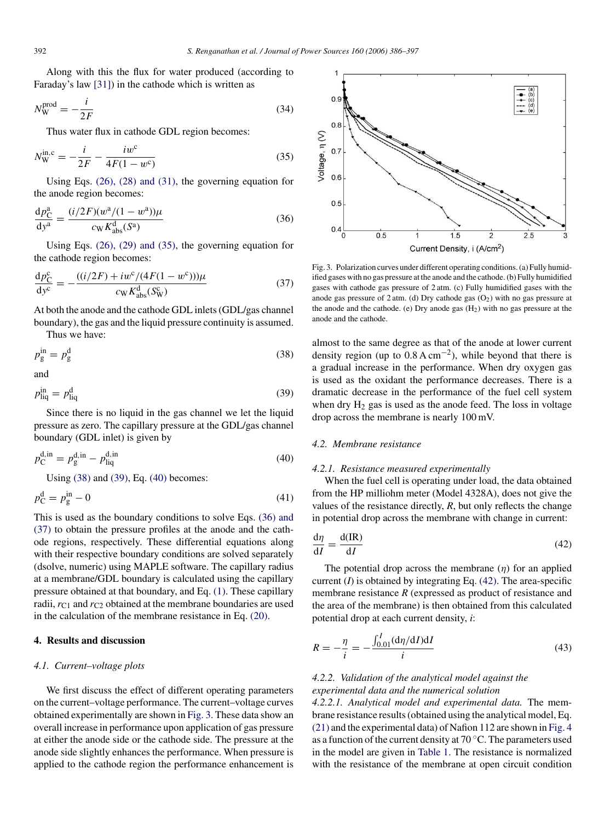<span id="page-6-0"></span>Along with this the flux for water produced (according to Faraday's law [\[31\]\)](#page-11-0) in the cathode which is written as

$$
N_{\rm W}^{\rm prod} = -\frac{i}{2F} \tag{34}
$$

Thus water flux in cathode GDL region becomes:

$$
N_{\rm W}^{\rm in, c} = -\frac{i}{2F} - \frac{i w^c}{4F(1 - w^c)}
$$
(35)

Using Eqs. [\(26\), \(28\) and \(31\),](#page-5-0) the governing equation for the anode region becomes:

$$
\frac{dp_C^a}{dy^a} = \frac{(i/2F)(w^a/(1-w^a))\mu}{c_W K_{\text{abs}}^d(S^a)}
$$
(36)

Using Eqs. [\(26\), \(29\) and \(35\),](#page-5-0) the governing equation for the cathode region becomes:

$$
\frac{dp_C^c}{dy^c} = -\frac{((i/2F) + iw^c/(4F(1 - w^c)))\mu}{c_W K_{\text{abs}}^d(S_W^c)}
$$
(37)

At both the anode and the cathode GDL inlets (GDL/gas channel boundary), the gas and the liquid pressure continuity is assumed.

Thus we have:

$$
p_{\rm g}^{\rm in} = p_{\rm g}^{\rm d} \tag{38}
$$

and

$$
p_{\rm liq}^{\rm in} = p_{\rm liq}^{\rm d} \tag{39}
$$

Since there is no liquid in the gas channel we let the liquid pressure as zero. The capillary pressure at the GDL/gas channel boundary (GDL inlet) is given by

$$
p_{\rm C}^{\rm d,in} = p_{\rm g}^{\rm d,in} - p_{\rm liq}^{\rm d,in} \tag{40}
$$

Using (38) and (39), Eq. (40) becomes:

$$
p_{\rm C}^{\rm d} = p_{\rm g}^{\rm in} - 0 \tag{41}
$$

This is used as the boundary conditions to solve Eqs. (36) and (37) to obtain the pressure profiles at the anode and the cathode regions, respectively. These differential equations along with their respective boundary conditions are solved separately (dsolve, numeric) using MAPLE software. The capillary radius at a membrane/GDL boundary is calculated using the capillary pressure obtained at that boundary, and Eq. [\(1\). T](#page-3-0)hese capillary radii,  $r_{C1}$  and  $r_{C2}$  obtained at the membrane boundaries are used in the calculation of the membrane resistance in Eq. [\(20\).](#page-4-0)

# **4. Results and discussion**

## *4.1. Current–voltage plots*

We first discuss the effect of different operating parameters on the current–voltage performance. The current–voltage curves obtained experimentally are shown in Fig. 3. These data show an overall increase in performance upon application of gas pressure at either the anode side or the cathode side. The pressure at the anode side slightly enhances the performance. When pressure is applied to the cathode region the performance enhancement is



Fig. 3. Polarization curves under different operating conditions. (a) Fully humidified gases with no gas pressure at the anode and the cathode. (b) Fully humidified gases with cathode gas pressure of 2 atm. (c) Fully humidified gases with the anode gas pressure of  $2 \text{ atm}$ . (d) Dry cathode gas  $(O_2)$  with no gas pressure at the anode and the cathode. (e) Dry anode gas  $(H<sub>2</sub>)$  with no gas pressure at the anode and the cathode.

almost to the same degree as that of the anode at lower current density region (up to  $0.8 \text{ A cm}^{-2}$ ), while beyond that there is a gradual increase in the performance. When dry oxygen gas is used as the oxidant the performance decreases. There is a dramatic decrease in the performance of the fuel cell system when dry  $H_2$  gas is used as the anode feed. The loss in voltage drop across the membrane is nearly 100 mV.

## *4.2. Membrane resistance*

#### *4.2.1. Resistance measured experimentally*

When the fuel cell is operating under load, the data obtained from the HP milliohm meter (Model 4328A), does not give the values of the resistance directly, *R*, but only reflects the change in potential drop across the membrane with change in current:

$$
\frac{d\eta}{dI} = \frac{d(\text{IR})}{dI} \tag{42}
$$

The potential drop across the membrane  $(\eta)$  for an applied current  $(I)$  is obtained by integrating Eq.  $(42)$ . The area-specific membrane resistance *R* (expressed as product of resistance and the area of the membrane) is then obtained from this calculated potential drop at each current density, *i*:

$$
R = -\frac{\eta}{i} = -\frac{\int_{0.01}^{I} (\mathrm{d}\eta/\mathrm{d}I) \mathrm{d}I}{i}
$$
(43)

# *4.2.2. Validation of the analytical model against the experimental data and the numerical solution*

*4.2.2.1. Analytical model and experimental data.* The membrane resistance results (obtained using the analytical model, Eq. [\(21\)](#page-5-0) and the experimental data) of Nafion 112 are shown in [Fig. 4](#page-7-0) as a function of the current density at 70 ◦C. The parameters used in the model are given in [Table 1.](#page-7-0) The resistance is normalized with the resistance of the membrane at open circuit condition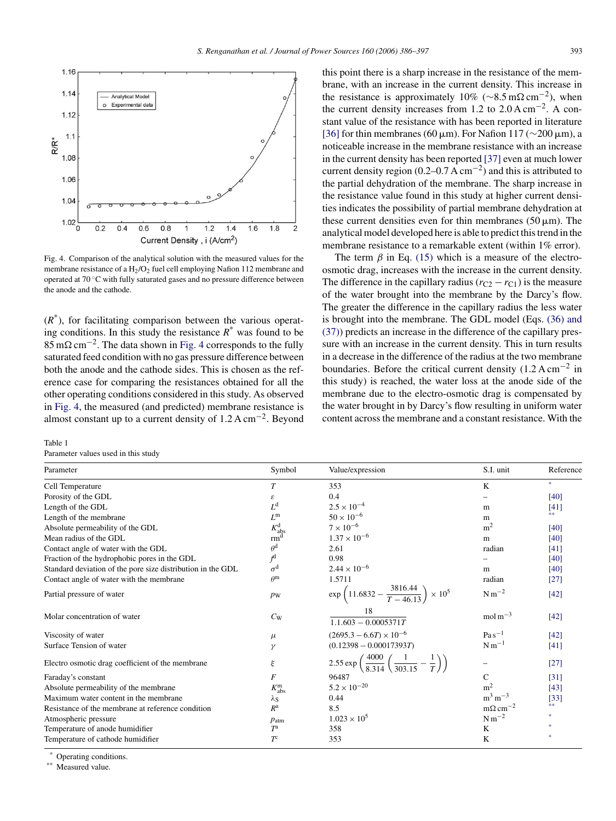<span id="page-7-0"></span>

Fig. 4. Comparison of the analytical solution with the measured values for the membrane resistance of a  $H_2/O_2$  fuel cell employing Nafion 112 membrane and operated at 70 ◦C with fully saturated gases and no pressure difference between the anode and the cathode.

 $(R^*)$ , for facilitating comparison between the various operating conditions. In this study the resistance  $R^*$  was found to be  $85 \text{ m}\Omega \text{ cm}^{-2}$ . The data shown in Fig. 4 corresponds to the fully saturated feed condition with no gas pressure difference between both the anode and the cathode sides. This is chosen as the reference case for comparing the resistances obtained for all the other operating conditions considered in this study. As observed in Fig. 4, the measured (and predicted) membrane resistance is almost constant up to a current density of  $1.2 \text{ A cm}^{-2}$ . Beyond

#### Table 1

Parameter values used in this study

this point there is a sharp increase in the resistance of the membrane, with an increase in the current density. This increase in the resistance is approximately 10% ( $\sim 8.5 \,\mathrm{m}\Omega \,\mathrm{cm}^{-2}$ ), when the current density increases from 1.2 to 2.0 A cm<sup>−</sup>2. A constant value of the resistance with has been reported in literature [\[36\]](#page-11-0) for thin membranes (60  $\mu$ m). For Nafion 117 (∼200  $\mu$ m), a noticeable increase in the membrane resistance with an increase in the current density has been reported [\[37\]](#page-11-0) even at much lower current density region  $(0.2-0.7 \text{ A cm}^{-2})$  and this is attributed to the partial dehydration of the membrane. The sharp increase in the resistance value found in this study at higher current densities indicates the possibility of partial membrane dehydration at these current densities even for thin membranes ( $50 \mu m$ ). The analytical model developed here is able to predict this trend in the membrane resistance to a remarkable extent (within 1% error).

The term  $\beta$  in Eq. [\(15\)](#page-4-0) which is a measure of the electroosmotic drag, increases with the increase in the current density. The difference in the capillary radius  $(r_{C2} - r_{C1})$  is the measure of the water brought into the membrane by the Darcy's flow. The greater the difference in the capillary radius the less water is brought into the membrane. The GDL model (Eqs. [\(36\) and](#page-6-0) [\(37\)\)](#page-6-0) predicts an increase in the difference of the capillary pressure with an increase in the current density. This in turn results in a decrease in the difference of the radius at the two membrane boundaries. Before the critical current density  $(1.2 \text{ A cm}^{-2} \text{ in}$ this study) is reached, the water loss at the anode side of the membrane due to the electro-osmotic drag is compensated by the water brought in by Darcy's flow resulting in uniform water content across the membrane and a constant resistance. With the

| Parameter                                                   | Symbol                | Value/expression                                                                          | S.I. unit                  | Reference     |
|-------------------------------------------------------------|-----------------------|-------------------------------------------------------------------------------------------|----------------------------|---------------|
| Cell Temperature                                            | T                     | 353                                                                                       | K                          | $\gg$         |
| Porosity of the GDL                                         | ε                     | 0.4                                                                                       |                            | [40]          |
| Length of the GDL                                           | $L^d$                 | $2.5 \times 10^{-4}$                                                                      | m                          | $[41]$        |
| Length of the membrane                                      | $L^{\rm m}$           | $50 \times 10^{-6}$                                                                       | m                          | **            |
| Absolute permeability of the GDL                            | $K_{\rm abs}^{\rm d}$ | $7 \times 10^{-6}$                                                                        | m <sup>2</sup>             | $[40]$        |
| Mean radius of the GDL                                      | rm <sup>d</sup>       | $1.37 \times 10^{-6}$                                                                     | m                          | [40]          |
| Contact angle of water with the GDL                         | $\theta^{\rm d}$      | 2.61                                                                                      | radian                     | [41]          |
| Fraction of the hydrophobic pores in the GDL                | f <sup>d</sup>        | 0.98                                                                                      |                            | [40]          |
| Standard deviation of the pore size distribution in the GDL | $\sigma^{\rm d}$      | $2.44 \times 10^{-6}$                                                                     | m                          | [40]          |
| Contact angle of water with the membrane                    | $\theta^{\rm m}$      | 1.5711                                                                                    | radian                     | $[27]$        |
| Partial pressure of water                                   | $p_{\rm W}$           | $\exp\left(11.6832 - \frac{3816.44}{T-46.13}\right) \times 10^5$                          | $N m^{-2}$                 | $[42]$        |
| Molar concentration of water                                | $C_{W}$               | 18<br>$1.1.603 - 0.0005371T$                                                              | $mol\ m^{-3}$              | $[42]$        |
| Viscosity of water                                          | $\mu$                 | $(2695.3 - 6.6T) \times 10^{-6}$                                                          | $Pa s^{-1}$                | $[42]$        |
| Surface Tension of water                                    | γ                     | $(0.12398 - 0.00017393T)$                                                                 | $N m^{-1}$                 | $[41]$        |
| Electro osmotic drag coefficient of the membrane            | ξ                     | 2.55 exp $\left(\frac{4000}{8.314} \left( \frac{1}{303.15} - \frac{1}{T} \right) \right)$ |                            | $[27]$        |
| Faraday's constant                                          | F                     | 96487                                                                                     | $\mathcal{C}$              | $[31]$        |
| Absolute permeability of the membrane                       | $K_{\rm abs}^{\rm m}$ | $5.2 \times 10^{-20}$                                                                     | m <sup>2</sup>             | [43]          |
| Maximum water content in the membrane                       | $\lambda_{\rm S}$     | 0.44                                                                                      | $m^3 m^{-3}$               | $[33]$        |
| Resistance of the membrane at reference condition           | $R^{\rm a}$           | 8.5                                                                                       | $m\Omega$ cm <sup>-2</sup> | **            |
| Atmospheric pressure                                        | $p_{\text{atm}}$      | $1.023 \times 10^{5}$                                                                     | $\mathrm{N\,m^{-2}}$       | $\mathcal{R}$ |
| Temperature of anode humidifier                             | $T^{\mathrm{a}}$      | 358                                                                                       | K                          |               |
| Temperature of cathode humidifier                           | $T^c$                 | 353                                                                                       | K                          | $\pm$         |

Operating conditions.

Measured value.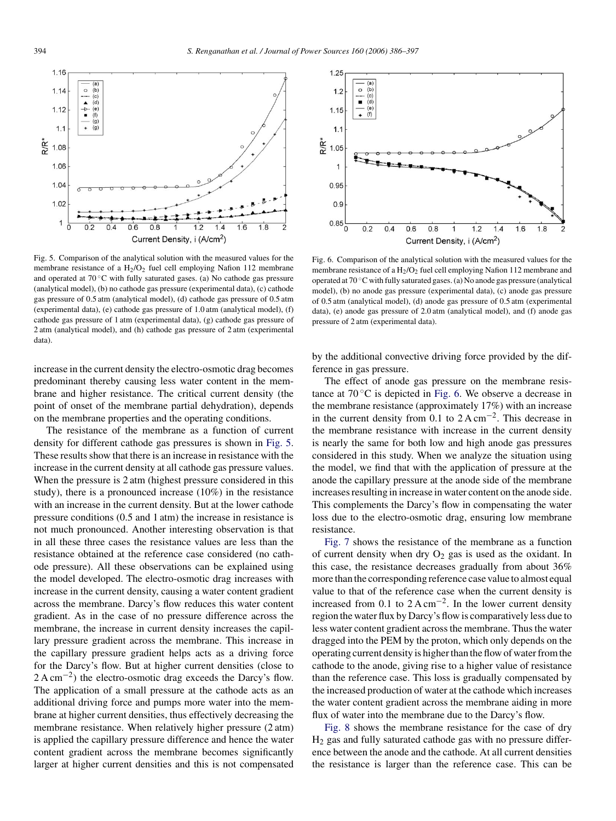

Fig. 5. Comparison of the analytical solution with the measured values for the membrane resistance of a  $H_2/O_2$  fuel cell employing Nafion 112 membrane and operated at 70 ◦C with fully saturated gases. (a) No cathode gas pressure (analytical model), (b) no cathode gas pressure (experimental data), (c) cathode gas pressure of 0.5 atm (analytical model), (d) cathode gas pressure of 0.5 atm (experimental data), (e) cathode gas pressure of 1.0 atm (analytical model), (f) cathode gas pressure of 1 atm (experimental data), (g) cathode gas pressure of 2 atm (analytical model), and (h) cathode gas pressure of 2 atm (experimental data).

increase in the current density the electro-osmotic drag becomes predominant thereby causing less water content in the membrane and higher resistance. The critical current density (the point of onset of the membrane partial dehydration), depends on the membrane properties and the operating conditions.

The resistance of the membrane as a function of current density for different cathode gas pressures is shown in Fig. 5. These results show that there is an increase in resistance with the increase in the current density at all cathode gas pressure values. When the pressure is 2 atm (highest pressure considered in this study), there is a pronounced increase (10%) in the resistance with an increase in the current density. But at the lower cathode pressure conditions (0.5 and 1 atm) the increase in resistance is not much pronounced. Another interesting observation is that in all these three cases the resistance values are less than the resistance obtained at the reference case considered (no cathode pressure). All these observations can be explained using the model developed. The electro-osmotic drag increases with increase in the current density, causing a water content gradient across the membrane. Darcy's flow reduces this water content gradient. As in the case of no pressure difference across the membrane, the increase in current density increases the capillary pressure gradient across the membrane. This increase in the capillary pressure gradient helps acts as a driving force for the Darcy's flow. But at higher current densities (close to 2 A cm<sup>-2</sup>) the electro-osmotic drag exceeds the Darcy's flow. The application of a small pressure at the cathode acts as an additional driving force and pumps more water into the membrane at higher current densities, thus effectively decreasing the membrane resistance. When relatively higher pressure (2 atm) is applied the capillary pressure difference and hence the water content gradient across the membrane becomes significantly larger at higher current densities and this is not compensated



Fig. 6. Comparison of the analytical solution with the measured values for the membrane resistance of a  $H_2/O_2$  fuel cell employing Nafion 112 membrane and operated at 70 ◦C with fully saturated gases. (a) No anode gas pressure (analytical model), (b) no anode gas pressure (experimental data), (c) anode gas pressure of 0.5 atm (analytical model), (d) anode gas pressure of 0.5 atm (experimental data), (e) anode gas pressure of 2.0 atm (analytical model), and (f) anode gas pressure of 2 atm (experimental data).

by the additional convective driving force provided by the difference in gas pressure.

The effect of anode gas pressure on the membrane resistance at  $70^{\circ}$ C is depicted in Fig. 6. We observe a decrease in the membrane resistance (approximately 17%) with an increase in the current density from 0.1 to  $2 \text{ A cm}^{-2}$ . This decrease in the membrane resistance with increase in the current density is nearly the same for both low and high anode gas pressures considered in this study. When we analyze the situation using the model, we find that with the application of pressure at the anode the capillary pressure at the anode side of the membrane increases resulting in increase in water content on the anode side. This complements the Darcy's flow in compensating the water loss due to the electro-osmotic drag, ensuring low membrane resistance.

[Fig. 7](#page-9-0) shows the resistance of the membrane as a function of current density when dry  $O_2$  gas is used as the oxidant. In this case, the resistance decreases gradually from about 36% more than the corresponding reference case value to almost equal value to that of the reference case when the current density is increased from 0.1 to  $2 \text{ A cm}^{-2}$ . In the lower current density region the water flux by Darcy's flow is comparatively less due to less water content gradient across the membrane. Thus the water dragged into the PEM by the proton, which only depends on the operating current density is higher than the flow of water from the cathode to the anode, giving rise to a higher value of resistance than the reference case. This loss is gradually compensated by the increased production of water at the cathode which increases the water content gradient across the membrane aiding in more flux of water into the membrane due to the Darcy's flow.

[Fig. 8](#page-9-0) shows the membrane resistance for the case of dry H2 gas and fully saturated cathode gas with no pressure difference between the anode and the cathode. At all current densities the resistance is larger than the reference case. This can be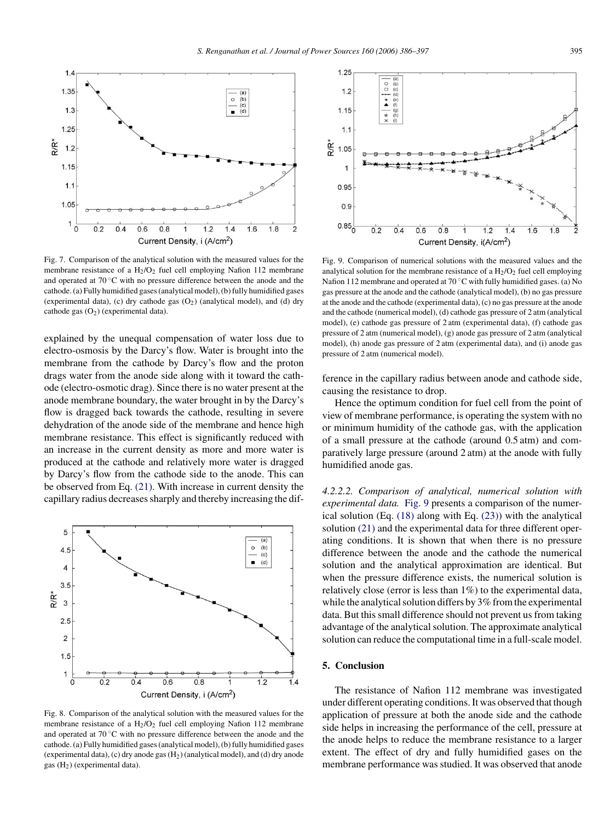<span id="page-9-0"></span>

Fig. 7. Comparison of the analytical solution with the measured values for the membrane resistance of a  $H_2/O_2$  fuel cell employing Nafion 112 membrane and operated at 70 ◦C with no pressure difference between the anode and the cathode. (a) Fully humidified gases (analytical model), (b) fully humidified gases (experimental data), (c) dry cathode gas  $(O<sub>2</sub>)$  (analytical model), and (d) dry cathode gas  $(O_2)$  (experimental data).

explained by the unequal compensation of water loss due to electro-osmosis by the Darcy's flow. Water is brought into the membrane from the cathode by Darcy's flow and the proton drags water from the anode side along with it toward the cathode (electro-osmotic drag). Since there is no water present at the anode membrane boundary, the water brought in by the Darcy's flow is dragged back towards the cathode, resulting in severe dehydration of the anode side of the membrane and hence high membrane resistance. This effect is significantly reduced with an increase in the current density as more and more water is produced at the cathode and relatively more water is dragged by Darcy's flow from the cathode side to the anode. This can be observed from Eq. [\(21\).](#page-5-0) With increase in current density the capillary radius decreases sharply and thereby increasing the dif-



Fig. 8. Comparison of the analytical solution with the measured values for the membrane resistance of a  $H_2/O_2$  fuel cell employing Nafion 112 membrane and operated at 70 ◦C with no pressure difference between the anode and the cathode. (a) Fully humidified gases (analytical model), (b) fully humidified gases (experimental data), (c) dry anode gas  $(H<sub>2</sub>)$  (analytical model), and (d) dry anode gas  $(H<sub>2</sub>)$  (experimental data).



Fig. 9. Comparison of numerical solutions with the measured values and the analytical solution for the membrane resistance of a  $H_2/O_2$  fuel cell employing Nafion 112 membrane and operated at  $70^{\circ}$ C with fully humidified gases. (a) No gas pressure at the anode and the cathode (analytical model), (b) no gas pressure at the anode and the cathode (experimental data), (c) no gas pressure at the anode and the cathode (numerical model), (d) cathode gas pressure of 2 atm (analytical model), (e) cathode gas pressure of 2 atm (experimental data), (f) cathode gas pressure of 2 atm (numerical model), (g) anode gas pressure of 2 atm (analytical model), (h) anode gas pressure of 2 atm (experimental data), and (i) anode gas pressure of 2 atm (numerical model).

ference in the capillary radius between anode and cathode side, causing the resistance to drop.

Hence the optimum condition for fuel cell from the point of view of membrane performance, is operating the system with no or minimum humidity of the cathode gas, with the application of a small pressure at the cathode (around 0.5 atm) and comparatively large pressure (around 2 atm) at the anode with fully humidified anode gas.

*4.2.2.2. Comparison of analytical, numerical solution with experimental data.* Fig. 9 presents a comparison of the numerical solution (Eq. [\(18\)](#page-4-0) along with Eq. [\(23\)\)](#page-5-0) with the analytical solution [\(21\)](#page-5-0) and the experimental data for three different operating conditions. It is shown that when there is no pressure difference between the anode and the cathode the numerical solution and the analytical approximation are identical. But when the pressure difference exists, the numerical solution is relatively close (error is less than 1%) to the experimental data, while the analytical solution differs by 3% from the experimental data. But this small difference should not prevent us from taking advantage of the analytical solution. The approximate analytical solution can reduce the computational time in a full-scale model.

## **5. Conclusion**

The resistance of Nafion 112 membrane was investigated under different operating conditions. It was observed that though application of pressure at both the anode side and the cathode side helps in increasing the performance of the cell, pressure at the anode helps to reduce the membrane resistance to a larger extent. The effect of dry and fully humidified gases on the membrane performance was studied. It was observed that anode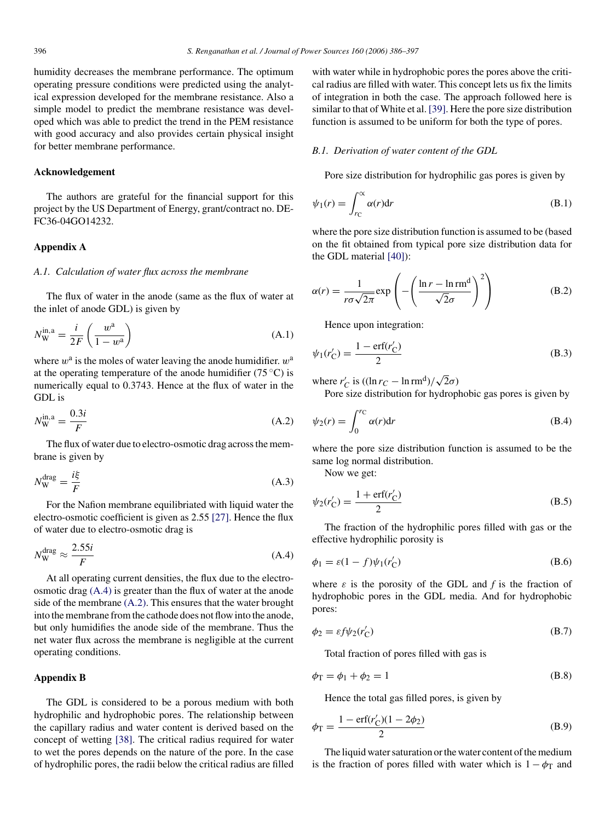<span id="page-10-0"></span>humidity decreases the membrane performance. The optimum operating pressure conditions were predicted using the analytical expression developed for the membrane resistance. Also a simple model to predict the membrane resistance was developed which was able to predict the trend in the PEM resistance with good accuracy and also provides certain physical insight for better membrane performance.

#### **Acknowledgement**

The authors are grateful for the financial support for this project by the US Department of Energy, grant/contract no. DE-FC36-04GO14232.

## **Appendix A**

#### *A.1. Calculation of water flux across the membrane*

The flux of water in the anode (same as the flux of water at the inlet of anode GDL) is given by

$$
N_{\rm W}^{\rm in, a} = \frac{i}{2F} \left( \frac{w^{\rm a}}{1 - w^{\rm a}} \right) \tag{A.1}
$$

where  $w^a$  is the moles of water leaving the anode humidifier.  $w^a$ at the operating temperature of the anode humidifier (75 °C) is numerically equal to 0.3743. Hence at the flux of water in the GDL is

$$
N_{\rm W}^{\rm in,a} = \frac{0.3i}{F} \tag{A.2}
$$

The flux of water due to electro-osmotic drag across the membrane is given by

$$
N_{\rm W}^{\rm drag} = \frac{i\xi}{F} \tag{A.3}
$$

For the Nafion membrane equilibriated with liquid water the electro-osmotic coefficient is given as 2.55 [\[27\].](#page-11-0) Hence the flux of water due to electro-osmotic drag is

$$
N_{\rm W}^{\rm drag} \approx \frac{2.55i}{F} \tag{A.4}
$$

At all operating current densities, the flux due to the electroosmotic drag (A.4) is greater than the flux of water at the anode side of the membrane (A.2). This ensures that the water brought into the membrane from the cathode does not flow into the anode, but only humidifies the anode side of the membrane. Thus the net water flux across the membrane is negligible at the current operating conditions.

#### **Appendix B**

The GDL is considered to be a porous medium with both hydrophilic and hydrophobic pores. The relationship between the capillary radius and water content is derived based on the concept of wetting [\[38\].](#page-11-0) The critical radius required for water to wet the pores depends on the nature of the pore. In the case of hydrophilic pores, the radii below the critical radius are filled with water while in hydrophobic pores the pores above the critical radius are filled with water. This concept lets us fix the limits of integration in both the case. The approach followed here is similar to that of White et al. [\[39\]. H](#page-11-0)ere the pore size distribution function is assumed to be uniform for both the type of pores.

#### *B.1. Derivation of water content of the GDL*

Pore size distribution for hydrophilic gas pores is given by

$$
\psi_1(r) = \int_{r_C}^{\infty} \alpha(r) dr \tag{B.1}
$$

where the pore size distribution function is assumed to be (based on the fit obtained from typical pore size distribution data for the GDL material [\[40\]\):](#page-11-0)

$$
\alpha(r) = \frac{1}{r\sigma\sqrt{2\pi}} \exp\left(-\left(\frac{\ln r - \ln \text{rm}^{\text{d}}}{\sqrt{2}\sigma}\right)^2\right)
$$
(B.2)

Hence upon integration:

$$
\psi_1(r'_C) = \frac{1 - \text{erf}(r'_C)}{2}
$$
 (B.3)

where  $r'_C$  is  $((\ln r_C - \ln \text{rm}^d)/\sqrt{2}\sigma)$ 

Pore size distribution for hydrophobic gas pores is given by

$$
\psi_2(r) = \int_0^{r_C} \alpha(r) dr \tag{B.4}
$$

where the pore size distribution function is assumed to be the same log normal distribution.

Now we get:

$$
\psi_2(r'_C) = \frac{1 + \text{erf}(r'_C)}{2}
$$
 (B.5)

The fraction of the hydrophilic pores filled with gas or the effective hydrophilic porosity is

$$
\phi_1 = \varepsilon (1 - f) \psi_1(r'_C) \tag{B.6}
$$

where  $\varepsilon$  is the porosity of the GDL and  $f$  is the fraction of hydrophobic pores in the GDL media. And for hydrophobic pores:

$$
\phi_2 = \varepsilon f \psi_2(r'_C) \tag{B.7}
$$

Total fraction of pores filled with gas is

$$
\phi_{\rm T} = \phi_1 + \phi_2 = 1\tag{B.8}
$$

Hence the total gas filled pores, is given by

$$
\phi_{\rm T} = \frac{1 - \text{erf}(r_{\rm C}') (1 - 2\phi_2)}{2} \tag{B.9}
$$

The liquid water saturation or the water content of the medium is the fraction of pores filled with water which is  $1 - \phi_T$  and